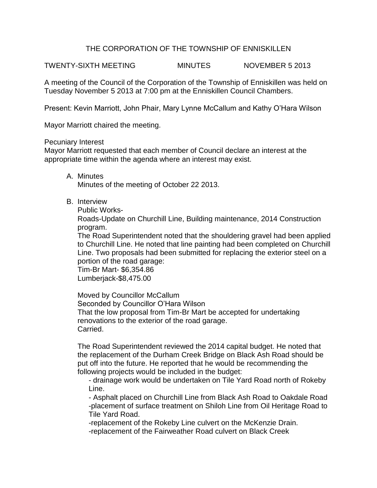## THE CORPORATION OF THE TOWNSHIP OF ENNISKILLEN

TWENTY-SIXTH MEETING MINUTES NOVEMBER 5 2013

A meeting of the Council of the Corporation of the Township of Enniskillen was held on Tuesday November 5 2013 at 7:00 pm at the Enniskillen Council Chambers.

Present: Kevin Marriott, John Phair, Mary Lynne McCallum and Kathy O'Hara Wilson

Mayor Marriott chaired the meeting.

Pecuniary Interest

Mayor Marriott requested that each member of Council declare an interest at the appropriate time within the agenda where an interest may exist.

- A. Minutes Minutes of the meeting of October 22 2013.
- B. Interview

Public Works-

Roads-Update on Churchill Line, Building maintenance, 2014 Construction program.

The Road Superintendent noted that the shouldering gravel had been applied to Churchill Line. He noted that line painting had been completed on Churchill Line. Two proposals had been submitted for replacing the exterior steel on a portion of the road garage:

Tim-Br Mart- \$6,354.86 Lumberjack-\$8,475.00

Moved by Councillor McCallum Seconded by Councillor O'Hara Wilson That the low proposal from Tim-Br Mart be accepted for undertaking renovations to the exterior of the road garage. Carried.

The Road Superintendent reviewed the 2014 capital budget. He noted that the replacement of the Durham Creek Bridge on Black Ash Road should be put off into the future. He reported that he would be recommending the following projects would be included in the budget:

- drainage work would be undertaken on Tile Yard Road north of Rokeby Line.

- Asphalt placed on Churchill Line from Black Ash Road to Oakdale Road -placement of surface treatment on Shiloh Line from Oil Heritage Road to Tile Yard Road.

-replacement of the Rokeby Line culvert on the McKenzie Drain.

-replacement of the Fairweather Road culvert on Black Creek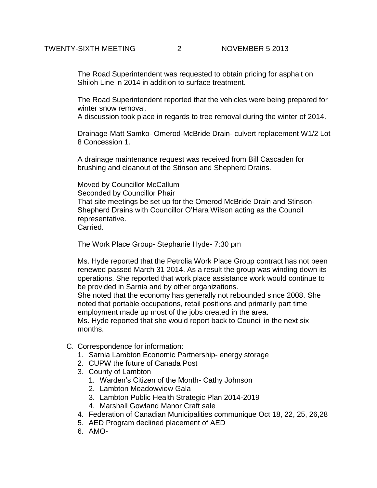The Road Superintendent was requested to obtain pricing for asphalt on Shiloh Line in 2014 in addition to surface treatment.

The Road Superintendent reported that the vehicles were being prepared for winter snow removal.

A discussion took place in regards to tree removal during the winter of 2014.

Drainage-Matt Samko- Omerod-McBride Drain- culvert replacement W1/2 Lot 8 Concession 1.

A drainage maintenance request was received from Bill Cascaden for brushing and cleanout of the Stinson and Shepherd Drains.

Moved by Councillor McCallum Seconded by Councillor Phair That site meetings be set up for the Omerod McBride Drain and Stinson-Shepherd Drains with Councillor O'Hara Wilson acting as the Council representative. Carried.

The Work Place Group- Stephanie Hyde- 7:30 pm

Ms. Hyde reported that the Petrolia Work Place Group contract has not been renewed passed March 31 2014. As a result the group was winding down its operations. She reported that work place assistance work would continue to be provided in Sarnia and by other organizations.

She noted that the economy has generally not rebounded since 2008. She noted that portable occupations, retail positions and primarily part time employment made up most of the jobs created in the area.

Ms. Hyde reported that she would report back to Council in the next six months.

- C. Correspondence for information:
	- 1. Sarnia Lambton Economic Partnership- energy storage
	- 2. CUPW the future of Canada Post
	- 3. County of Lambton
		- 1. Warden's Citizen of the Month- Cathy Johnson
		- 2. Lambton Meadowview Gala
		- 3. Lambton Public Health Strategic Plan 2014-2019
		- 4. Marshall Gowland Manor Craft sale
	- 4. Federation of Canadian Municipalities communique Oct 18, 22, 25, 26,28
	- 5. AED Program declined placement of AED
	- 6. AMO-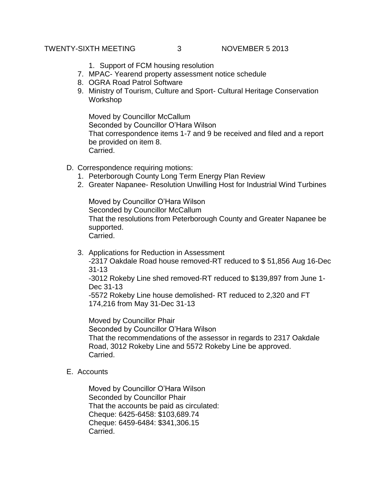## TWENTY-SIXTH MEETING 3 NOVEMBER 5 2013

- 1. Support of FCM housing resolution
- 7. MPAC- Yearend property assessment notice schedule
- 8. OGRA Road Patrol Software
- 9. Ministry of Tourism, Culture and Sport- Cultural Heritage Conservation Workshop

Moved by Councillor McCallum Seconded by Councillor O'Hara Wilson That correspondence items 1-7 and 9 be received and filed and a report be provided on item 8. Carried.

- D. Correspondence requiring motions:
	- 1. Peterborough County Long Term Energy Plan Review
	- 2. Greater Napanee- Resolution Unwilling Host for Industrial Wind Turbines

Moved by Councillor O'Hara Wilson Seconded by Councillor McCallum That the resolutions from Peterborough County and Greater Napanee be supported. Carried.

3. Applications for Reduction in Assessment

-2317 Oakdale Road house removed-RT reduced to \$ 51,856 Aug 16-Dec 31-13

-3012 Rokeby Line shed removed-RT reduced to \$139,897 from June 1- Dec 31-13

-5572 Rokeby Line house demolished- RT reduced to 2,320 and FT 174,216 from May 31-Dec 31-13

Moved by Councillor Phair Seconded by Councillor O'Hara Wilson That the recommendations of the assessor in regards to 2317 Oakdale Road, 3012 Rokeby Line and 5572 Rokeby Line be approved. Carried.

E. Accounts

Moved by Councillor O'Hara Wilson Seconded by Councillor Phair That the accounts be paid as circulated: Cheque: 6425-6458: \$103,689.74 Cheque: 6459-6484: \$341,306.15 Carried.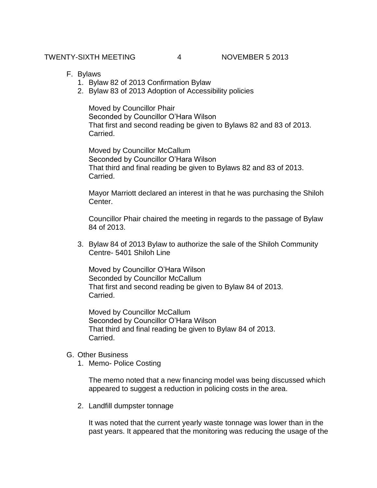- F. Bylaws
	- 1. Bylaw 82 of 2013 Confirmation Bylaw
	- 2. Bylaw 83 of 2013 Adoption of Accessibility policies

Moved by Councillor Phair Seconded by Councillor O'Hara Wilson That first and second reading be given to Bylaws 82 and 83 of 2013. Carried.

Moved by Councillor McCallum Seconded by Councillor O'Hara Wilson That third and final reading be given to Bylaws 82 and 83 of 2013. Carried.

Mayor Marriott declared an interest in that he was purchasing the Shiloh Center.

Councillor Phair chaired the meeting in regards to the passage of Bylaw 84 of 2013.

3. Bylaw 84 of 2013 Bylaw to authorize the sale of the Shiloh Community Centre- 5401 Shiloh Line

Moved by Councillor O'Hara Wilson Seconded by Councillor McCallum That first and second reading be given to Bylaw 84 of 2013. Carried.

Moved by Councillor McCallum Seconded by Councillor O'Hara Wilson That third and final reading be given to Bylaw 84 of 2013. Carried.

## G. Other Business

1. Memo- Police Costing

The memo noted that a new financing model was being discussed which appeared to suggest a reduction in policing costs in the area.

2. Landfill dumpster tonnage

It was noted that the current yearly waste tonnage was lower than in the past years. It appeared that the monitoring was reducing the usage of the